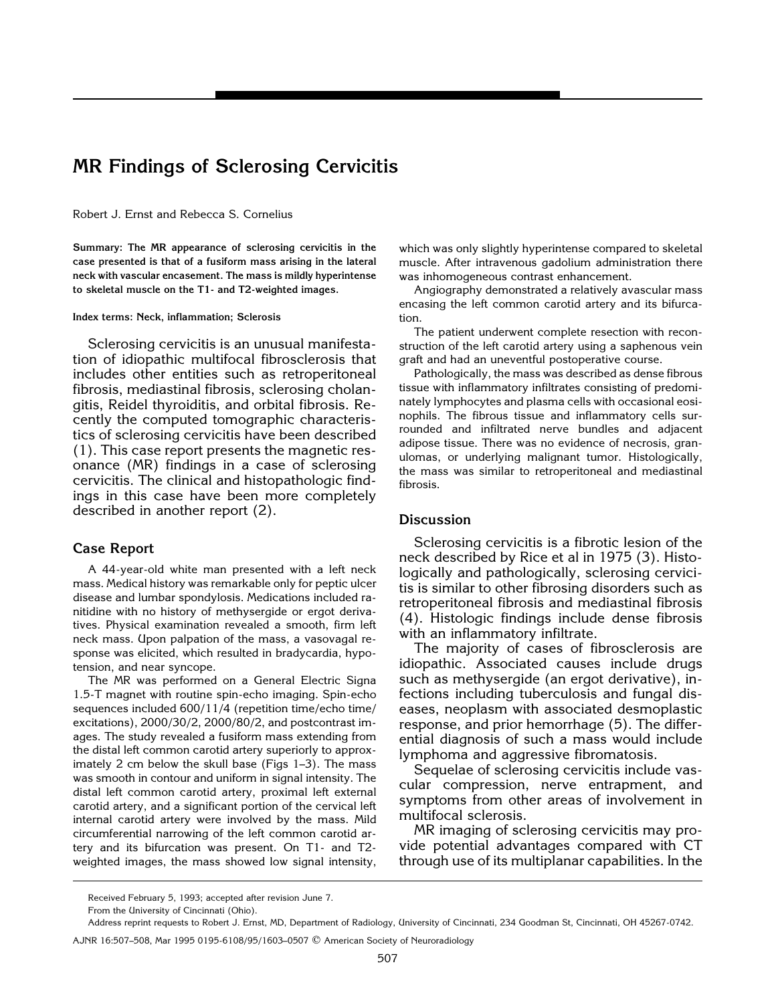# **MR Findings of Sclerosing Cervicitis**

Robert J. Ernst and Rebecca S. Cornelius

**Summary: The MR appearance of sclerosing cervicitis in the case presented is that of a fusiform mass arising in the lateral neck with vascular encasement. The mass is mildly hyperintense to skeletal muscle on the T1- and T2-weighted images.**

#### **Index terms: Neck, inflammation; Sclerosis**

Sclerosing cervicitis is an unusual manifestation of idiopathic multifocal fibrosclerosis that includes other entities such as retroperitoneal fibrosis, mediastinal fibrosis, sclerosing cholangitis, Reidel thyroiditis, and orbital fibrosis. Recently the computed tomographic characteristics of sclerosing cervicitis have been described (1). This case report presents the magnetic resonance (MR) findings in a case of sclerosing cervicitis. The clinical and histopathologic findings in this case have been more completely described in another report (2).

# **Case Report**

A 44-year-old white man presented with a left neck mass. Medical history was remarkable only for peptic ulcer disease and lumbar spondylosis. Medications included ranitidine with no history of methysergide or ergot derivatives. Physical examination revealed a smooth, firm left neck mass. Upon palpation of the mass, a vasovagal response was elicited, which resulted in bradycardia, hypotension, and near syncope.

The MR was performed on a General Electric Signa 1.5-T magnet with routine spin-echo imaging. Spin-echo sequences included 600/11/4 (repetition time/echo time/ excitations), 2000/30/2, 2000/80/2, and postcontrast images. The study revealed a fusiform mass extending from the distal left common carotid artery superiorly to approximately 2 cm below the skull base (Figs 1–3). The mass was smooth in contour and uniform in signal intensity. The distal left common carotid artery, proximal left external carotid artery, and a significant portion of the cervical left internal carotid artery were involved by the mass. Mild circumferential narrowing of the left common carotid artery and its bifurcation was present. On T1- and T2 weighted images, the mass showed low signal intensity,

which was only slightly hyperintense compared to skeletal muscle. After intravenous gadolium administration there was inhomogeneous contrast enhancement.

Angiography demonstrated a relatively avascular mass encasing the left common carotid artery and its bifurcation.

The patient underwent complete resection with reconstruction of the left carotid artery using a saphenous vein graft and had an uneventful postoperative course.

Pathologically, the mass was described as dense fibrous tissue with inflammatory infiltrates consisting of predominately lymphocytes and plasma cells with occasional eosinophils. The fibrous tissue and inflammatory cells surrounded and infiltrated nerve bundles and adjacent adipose tissue. There was no evidence of necrosis, granulomas, or underlying malignant tumor. Histologically, the mass was similar to retroperitoneal and mediastinal fibrosis.

### **Discussion**

Sclerosing cervicitis is a fibrotic lesion of the neck described by Rice et al in 1975 (3). Histologically and pathologically, sclerosing cervicitis is similar to other fibrosing disorders such as retroperitoneal fibrosis and mediastinal fibrosis (4). Histologic findings include dense fibrosis with an inflammatory infiltrate.

The majority of cases of fibrosclerosis are idiopathic. Associated causes include drugs such as methysergide (an ergot derivative), infections including tuberculosis and fungal diseases, neoplasm with associated desmoplastic response, and prior hemorrhage (5). The differential diagnosis of such a mass would include lymphoma and aggressive fibromatosis.

Sequelae of sclerosing cervicitis include vascular compression, nerve entrapment, and symptoms from other areas of involvement in multifocal sclerosis.

MR imaging of sclerosing cervicitis may provide potential advantages compared with CT through use of its multiplanar capabilities. In the

Received February 5, 1993; accepted after revision June 7.

From the University of Cincinnati (Ohio).

Address reprint requests to Robert J. Ernst, MD, Department of Radiology, University of Cincinnati, 234 Goodman St, Cincinnati, OH 45267-0742.

AJNR 16:507–508, Mar 1995 0195-6108/95/1603–0507 q American Society of Neuroradiology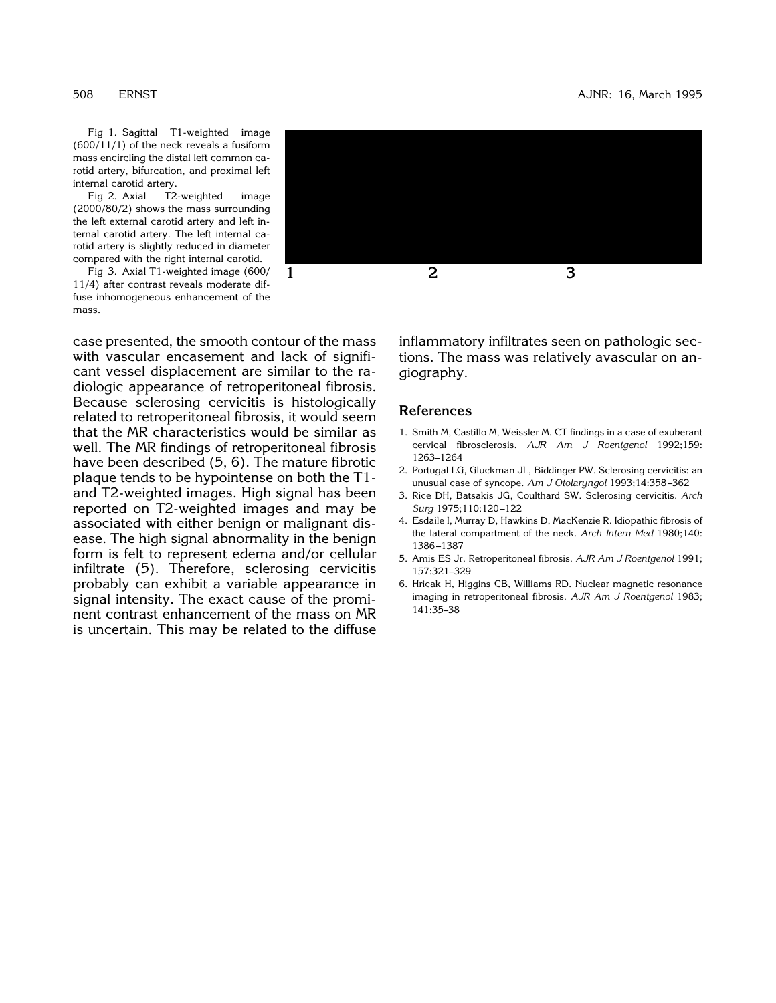508 ERNST AJNR: 16, March 1995

Fig 1. Sagittal T1-weighted image [\(600/11/1\) of the neck reveals a fusiform](#page-2-0) mass encircling the distal left common carotid artery, bifurcation, and proximal left internal carotid artery.

Fig 2. Axial T2-weighted image (2000/80/2) shows the mass surrounding the left external carotid artery and left in[ternal carotid artery. The left internal ca](#page-3-0)rotid artery is slightly reduced in diameter compared with the right internal carotid.

Fig 3. Axial T1-weighted image (600/ [11/4\) after contrast reveals moderate dif](#page-4-0)fuse inhomogeneous enhancement of the mass.

case presented, the smooth contour of the mass with vascular encasement and lack of significant vessel displacement are similar to the radiologic appearance of retroperitoneal fibrosis. Because sclerosing cervicitis is histologically related to retroperitoneal fibrosis, it would seem that the MR characteristics would be similar as well. The MR findings of retroperitoneal fibrosis have been described (5, 6). The mature fibrotic plaque tends to be hypointense on both the T1 and T2-weighted images. High signal has been reported on T2-weighted images and may be associated with either benign or malignant disease. The high signal abnormality in the benign form is felt to represent edema and/or cellular infiltrate (5). Therefore, sclerosing cervicitis probably can exhibit a variable appearance in signal intensity. The exact cause of the prominent contrast enhancement of the mass on MR is uncertain. This may be related to the diffuse



inflammatory infiltrates seen on pathologic sections. The mass was relatively avascular on angiography.

## **References**

- 1. Smith M, Castillo M, Weissler M. CT findings in a case of exuberant cervical fibrosclerosis. *AJR Am J Roentgenol* 1992;159: 1263–1264
- 2. Portugal LG, Gluckman JL, Biddinger PW. Sclerosing cervicitis: an unusual case of syncope. *Am J Otolaryngol* 1993;14:358 –362
- 3. Rice DH, Batsakis JG, Coulthard SW. Sclerosing cervicitis. *Arch Surg* 1975;110:120 –122
- 4. Esdaile I, Murray D, Hawkins D, MacKenzie R. Idiopathic fibrosis of the lateral compartment of the neck. *Arch Intern Med* 1980;140: 1386 –1387
- 5. Amis ES Jr. Retroperitoneal fibrosis. *AJR Am J Roentgenol* 1991; 157:321–329
- 6. Hricak H, Higgins CB, Williams RD. Nuclear magnetic resonance imaging in retroperitoneal fibrosis. *AJR Am J Roentgenol* 1983; 141:35–38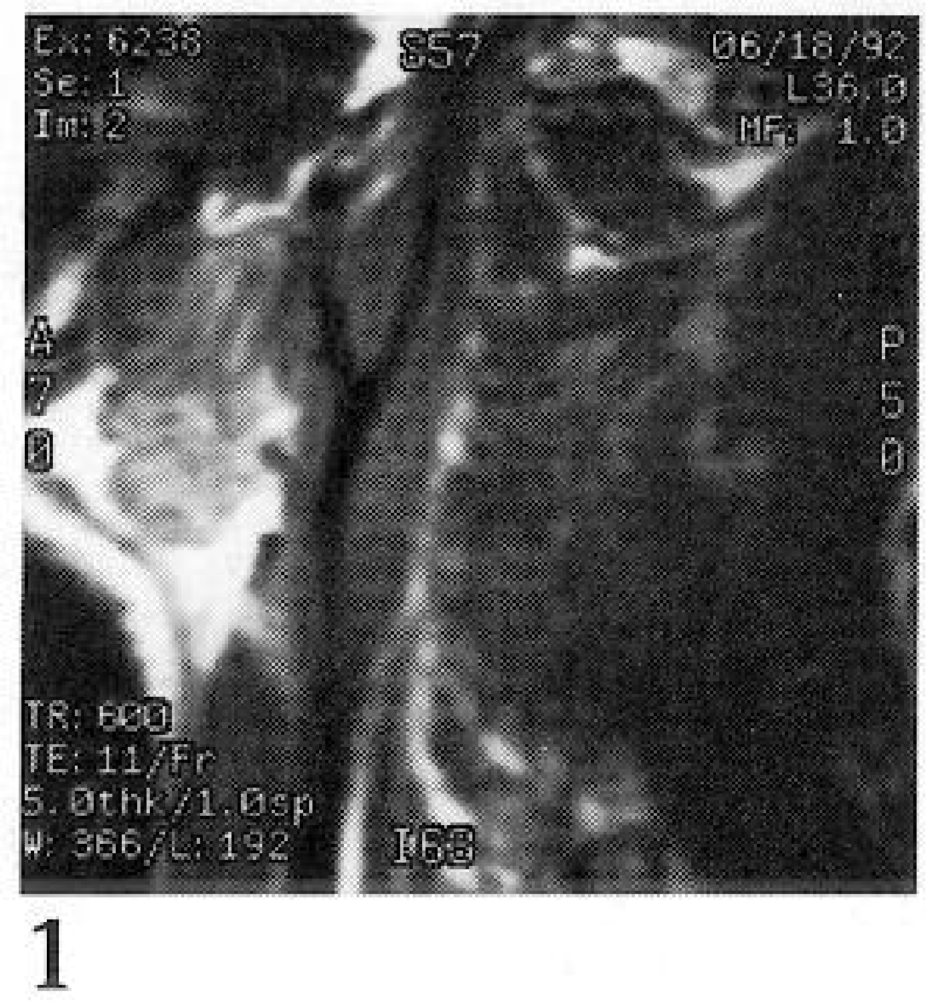

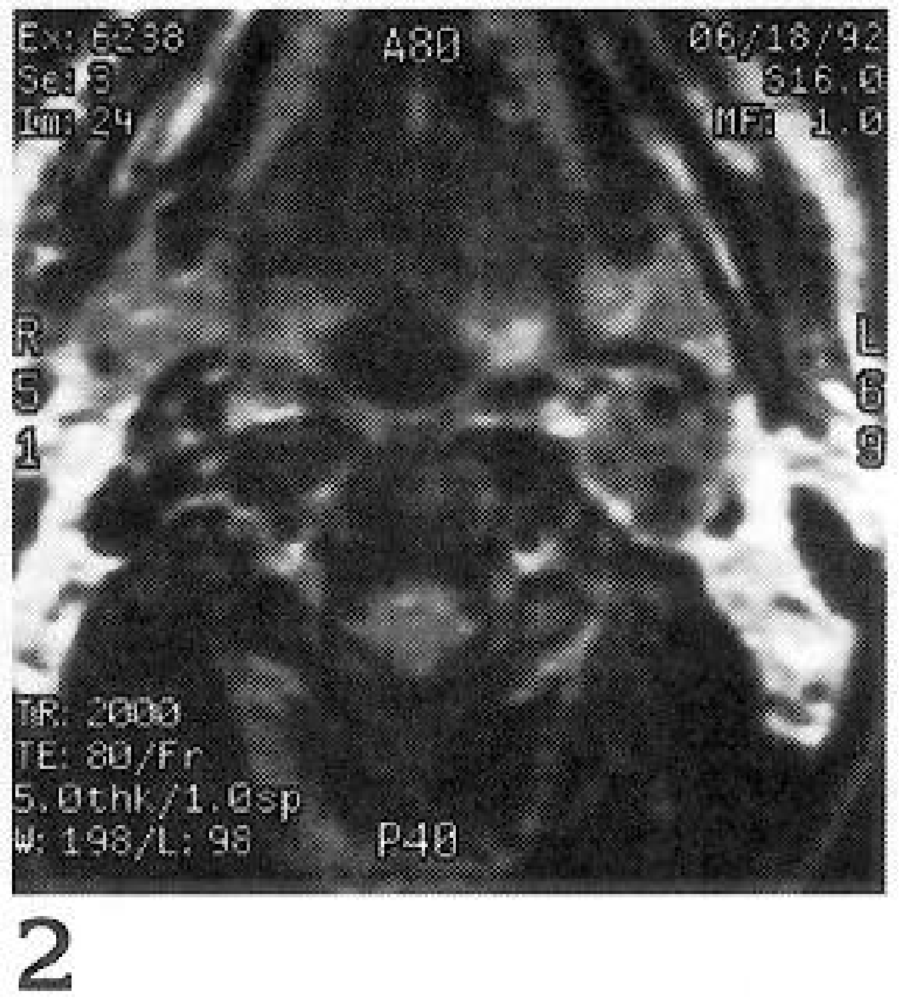

 $\overline{2}$